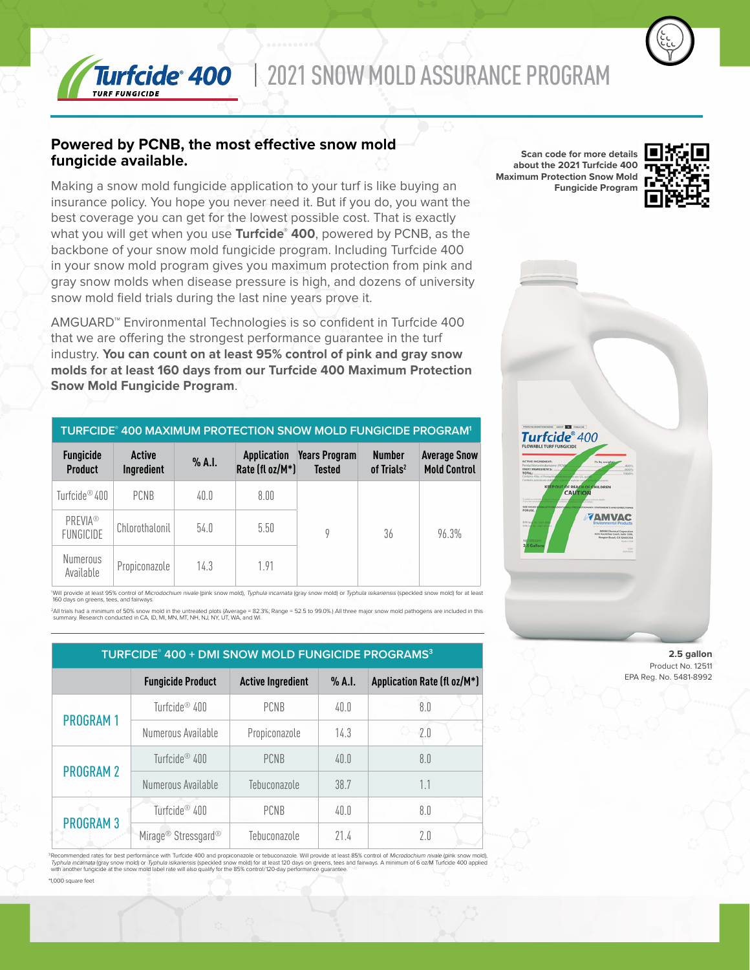Turfcide 400 | 2021 SNOW MOLD ASSURANCE PROGRAM

## **Powered by PCNB, the most effective snow mold fungicide available.**

Making a snow mold fungicide application to your turf is like buying an insurance policy. You hope you never need it. But if you do, you want the best coverage you can get for the lowest possible cost. That is exactly what you will get when you use **Turfcide® 400**, powered by PCNB, as the backbone of your snow mold fungicide program. Including Turfcide 400 in your snow mold program gives you maximum protection from pink and gray snow molds when disease pressure is high, and dozens of university snow mold field trials during the last nine years prove it.

AMGUARD™ Environmental Technologies is so confident in Turfcide 400 that we are offering the strongest performance guarantee in the turf industry. **You can count on at least 95% control of pink and gray snow molds for at least 160 days from our Turfcide 400 Maximum Protection Snow Mold Fungicide Program**.

| TURFCIDE® 400 MAXIMUM PROTECTION SNOW MOLD FUNGICIDE PROGRAM® |                             |        |                                       |                                       |                                |                                            |  |  |  |
|---------------------------------------------------------------|-----------------------------|--------|---------------------------------------|---------------------------------------|--------------------------------|--------------------------------------------|--|--|--|
| <b>Fungicide</b><br><b>Product</b>                            | <b>Active</b><br>Ingredient | % A.I. | <b>Application</b><br>Rate (fl oz/M*) | <b>Years Program</b><br><b>Tested</b> | <b>Number</b><br>of Trials $2$ | <b>Average Snow</b><br><b>Mold Control</b> |  |  |  |
| Turfcide <sup>®</sup> 400                                     | <b>PCNB</b>                 | 40.0   | 8.00                                  | 9                                     | 36                             | 96.3%                                      |  |  |  |
| <b>PREVIA®</b><br><b>FUNGICIDE</b>                            | Chlorothalonil              | 54.0   | 5.50                                  |                                       |                                |                                            |  |  |  |
| <b>Numerous</b><br>Available                                  | Propiconazole               | 14.3   | 1.91                                  |                                       |                                |                                            |  |  |  |

Will provide at least 95% control of Microdochium nivale (pink snow mold), Typhula incarnata (gray snow mold) or Typhula isikariensis (speckled snow mold) for at least 160 days on greens, tees, and fairways.

<sup>2</sup>All trials had a minimum of 50% snow mold in the untreated plots (Average = 82.3%; Range = 52.5 to 99.0%.) All three major snow mold pathogens are included in this<br>summary. Research conducted in CA, ID, MI, MN, MT, NH,

| TURFCIDE® 400 + DMI SNOW MOLD FUNGICIDE PROGRAMS <sup>3</sup> |                                             |                          |          |                             |  |  |  |
|---------------------------------------------------------------|---------------------------------------------|--------------------------|----------|-----------------------------|--|--|--|
|                                                               | <b>Fungicide Product</b>                    | <b>Active Ingredient</b> | $%$ A.I. | Application Rate (fl oz/M*) |  |  |  |
| <b>PROGRAM1</b>                                               | Turfcide <sup>®</sup> 400                   | <b>PCNB</b>              | 40.0     | 8.0                         |  |  |  |
|                                                               | Numerous Available                          | Propiconazole            | 14.3     | $-2.0$                      |  |  |  |
| <b>PROGRAM 2</b>                                              | Turfcide <sup>®</sup> 400                   | <b>PCNB</b>              | 40.0     | 8.0                         |  |  |  |
|                                                               | Numerous Available                          | Tebuconazole             | 38.7     | 1.1                         |  |  |  |
| <b>PROGRAM 3</b>                                              | Turfcide <sup>®</sup> 400                   | <b>PCNB</b>              | 40.0     | 8.0                         |  |  |  |
|                                                               | Mirage <sup>®</sup> Stressgard <sup>®</sup> | Tebuconazole             | 71.4     | 20                          |  |  |  |

<sup>3</sup>Recommended rates for best performance with Turfcide 400 and propiconazole or tebuconazole. Will provide at least 85% control of *Microdochium nivale* (pink snow mold),<br>Typhula incarnata (gray snow mold) or Typhula islx \*1,000 square feet

**Scan code for more details about the 2021 Turfcide 400 Maximum Protection Snow Mold Fungicide Program**





**2.5 gallon** Product No. 12511 EPA Reg. No. 5481-8992